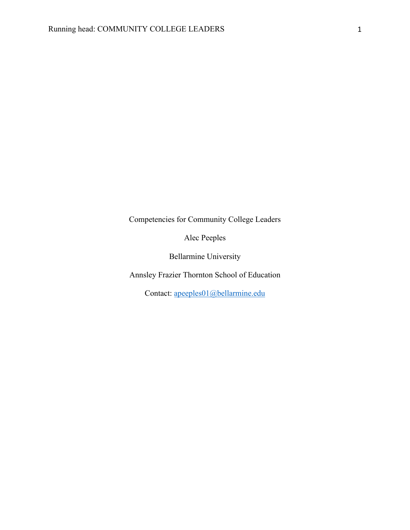Competencies for Community College Leaders

Alec Peeples

Bellarmine University

Annsley Frazier Thornton School of Education

Contact: apeeples01@bellarmine.edu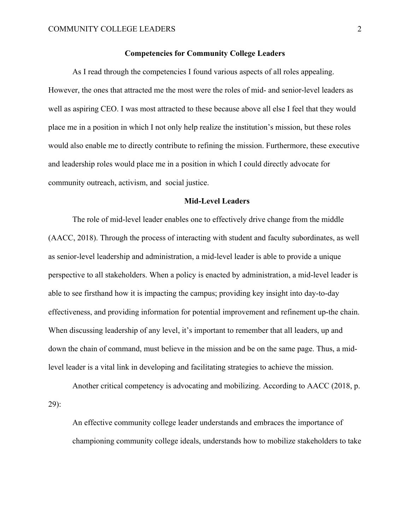### **Competencies for Community College Leaders**

As I read through the competencies I found various aspects of all roles appealing. However, the ones that attracted me the most were the roles of mid- and senior-level leaders as well as aspiring CEO. I was most attracted to these because above all else I feel that they would place me in a position in which I not only help realize the institution's mission, but these roles would also enable me to directly contribute to refining the mission. Furthermore, these executive and leadership roles would place me in a position in which I could directly advocate for community outreach, activism, and social justice.

#### **Mid-Level Leaders**

The role of mid-level leader enables one to effectively drive change from the middle (AACC, 2018). Through the process of interacting with student and faculty subordinates, as well as senior-level leadership and administration, a mid-level leader is able to provide a unique perspective to all stakeholders. When a policy is enacted by administration, a mid-level leader is able to see firsthand how it is impacting the campus; providing key insight into day-to-day effectiveness, and providing information for potential improvement and refinement up-the chain. When discussing leadership of any level, it's important to remember that all leaders, up and down the chain of command, must believe in the mission and be on the same page. Thus, a midlevel leader is a vital link in developing and facilitating strategies to achieve the mission.

Another critical competency is advocating and mobilizing. According to AACC (2018, p. 29):

An effective community college leader understands and embraces the importance of championing community college ideals, understands how to mobilize stakeholders to take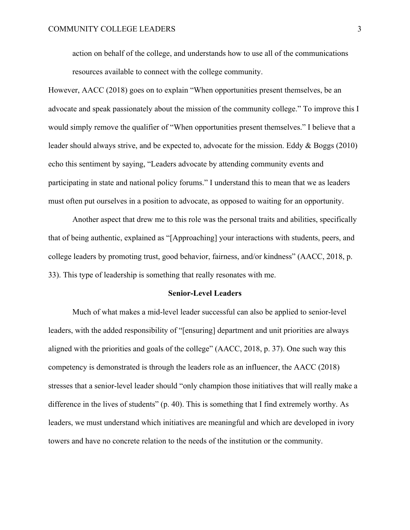action on behalf of the college, and understands how to use all of the communications resources available to connect with the college community.

However, AACC (2018) goes on to explain "When opportunities present themselves, be an advocate and speak passionately about the mission of the community college." To improve this I would simply remove the qualifier of "When opportunities present themselves." I believe that a leader should always strive, and be expected to, advocate for the mission. Eddy & Boggs (2010) echo this sentiment by saying, "Leaders advocate by attending community events and participating in state and national policy forums." I understand this to mean that we as leaders must often put ourselves in a position to advocate, as opposed to waiting for an opportunity.

Another aspect that drew me to this role was the personal traits and abilities, specifically that of being authentic, explained as "[Approaching] your interactions with students, peers, and college leaders by promoting trust, good behavior, fairness, and/or kindness" (AACC, 2018, p. 33). This type of leadership is something that really resonates with me.

#### **Senior-Level Leaders**

Much of what makes a mid-level leader successful can also be applied to senior-level leaders, with the added responsibility of "[ensuring] department and unit priorities are always aligned with the priorities and goals of the college" (AACC, 2018, p. 37). One such way this competency is demonstrated is through the leaders role as an influencer, the AACC (2018) stresses that a senior-level leader should "only champion those initiatives that will really make a difference in the lives of students" (p. 40). This is something that I find extremely worthy. As leaders, we must understand which initiatives are meaningful and which are developed in ivory towers and have no concrete relation to the needs of the institution or the community.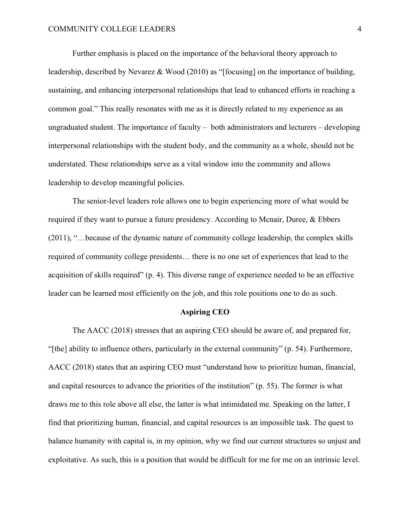Further emphasis is placed on the importance of the behavioral theory approach to leadership, described by Nevarez & Wood (2010) as "[focusing] on the importance of building, sustaining, and enhancing interpersonal relationships that lead to enhanced efforts in reaching a common goal." This really resonates with me as it is directly related to my experience as an ungraduated student. The importance of faculty – both administrators and lecturers – developing interpersonal relationships with the student body, and the community as a whole, should not be understated. These relationships serve as a vital window into the community and allows leadership to develop meaningful policies.

The senior-level leaders role allows one to begin experiencing more of what would be required if they want to pursue a future presidency. According to Mcnair, Duree, & Ebbers (2011), "…because of the dynamic nature of community college leadership, the complex skills required of community college presidents… there is no one set of experiences that lead to the acquisition of skills required" (p. 4). This diverse range of experience needed to be an effective leader can be learned most efficiently on the job, and this role positions one to do as such.

## **Aspiring CEO**

The AACC (2018) stresses that an aspiring CEO should be aware of, and prepared for, "[the] ability to influence others, particularly in the external community" (p. 54). Furthermore, AACC (2018) states that an aspiring CEO must "understand how to prioritize human, financial, and capital resources to advance the priorities of the institution" (p. 55). The former is what draws me to this role above all else, the latter is what intimidated me. Speaking on the latter, I find that prioritizing human, financial, and capital resources is an impossible task. The quest to balance humanity with capital is, in my opinion, why we find our current structures so unjust and exploitative. As such, this is a position that would be difficult for me for me on an intrinsic level.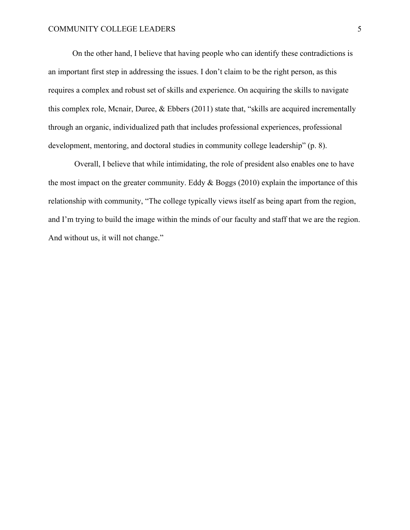On the other hand, I believe that having people who can identify these contradictions is an important first step in addressing the issues. I don't claim to be the right person, as this requires a complex and robust set of skills and experience. On acquiring the skills to navigate this complex role, Mcnair, Duree, & Ebbers (2011) state that, "skills are acquired incrementally through an organic, individualized path that includes professional experiences, professional development, mentoring, and doctoral studies in community college leadership" (p. 8).

Overall, I believe that while intimidating, the role of president also enables one to have the most impact on the greater community. Eddy  $\&$  Boggs (2010) explain the importance of this relationship with community, "The college typically views itself as being apart from the region, and I'm trying to build the image within the minds of our faculty and staff that we are the region. And without us, it will not change."